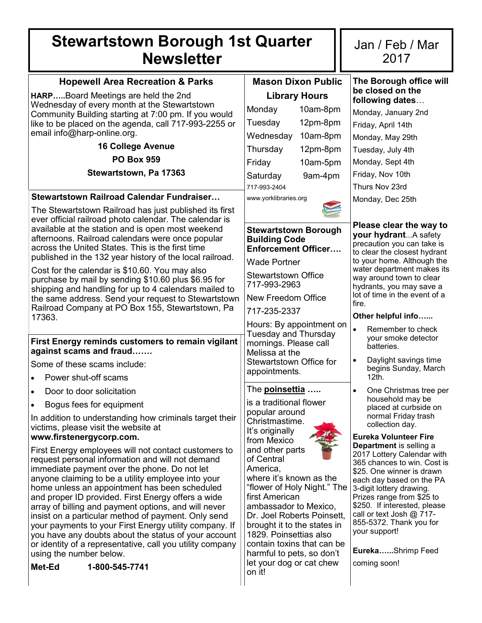# **Stewartstown Borough 1st Quarter Newsletter**

## **Hopewell Area Recreation & Parks**

**HARP…..**Board Meetings are held the 2nd Wednesday of every month at the Stewartstown Community Building starting at 7:00 pm. If you would like to be placed on the agenda, call 717-993-2255 or email info@harp-online.org.

**16 College Avenue**

**PO Box 959**

**Stewartstown, Pa 17363**

#### **Stewartstown Railroad Calendar Fundraiser…**

The Stewartstown Railroad has just published its first ever official railroad photo calendar. The calendar is available at the station and is open most weekend afternoons. Railroad calendars were once popular across the United States. This is the first time published in the 132 year history of the local railroad.

Cost for the calendar is \$10.60. You may also purchase by mail by sending \$10.60 plus \$6.95 for shipping and handling for up to 4 calendars mailed to the same address. Send your request to Stewartstown Railroad Company at PO Box 155, Stewartstown, Pa 17363.

#### **First Energy reminds customers to remain vigilant against scams and fraud…….**

Some of these scams include:

- Power shut-off scams
- Door to door solicitation
- Bogus fees for equipment

In addition to understanding how criminals target their victims, please visit the website at

## **www.firstenergycorp.com.**

First Energy employees will not contact customers to request personal information and will not demand immediate payment over the phone. Do not let anyone claiming to be a utility employee into your home unless an appointment has been scheduled and proper ID provided. First Energy offers a wide array of billing and payment options, and will never insist on a particular method of payment. Only send your payments to your First Energy utility company. If you have any doubts about the status of your account or identity of a representative, call you utility company using the number below.

**Met-Ed 1-800-545-7741**

|   | <b>Mason Dixon Public</b>                                                                                                                              |          |                                                                                                                                                                                                                                   | The Borough office will<br>be closed on the<br>following dates                                                |  |  |
|---|--------------------------------------------------------------------------------------------------------------------------------------------------------|----------|-----------------------------------------------------------------------------------------------------------------------------------------------------------------------------------------------------------------------------------|---------------------------------------------------------------------------------------------------------------|--|--|
|   | <b>Library Hours</b>                                                                                                                                   |          |                                                                                                                                                                                                                                   |                                                                                                               |  |  |
|   | Monday                                                                                                                                                 | 10am-8pm |                                                                                                                                                                                                                                   | Monday, January 2nd                                                                                           |  |  |
|   | Tuesday                                                                                                                                                | 12pm-8pm |                                                                                                                                                                                                                                   | Friday, April 14th                                                                                            |  |  |
|   | Wednesday                                                                                                                                              | 10am-8pm |                                                                                                                                                                                                                                   | Monday, May 29th                                                                                              |  |  |
|   | Thursday                                                                                                                                               | 12pm-8pm |                                                                                                                                                                                                                                   | Tuesday, July 4th                                                                                             |  |  |
|   | Friday                                                                                                                                                 | 10am-5pm |                                                                                                                                                                                                                                   | Monday, Sept 4th                                                                                              |  |  |
|   | Saturday                                                                                                                                               | 9am-4pm  |                                                                                                                                                                                                                                   | Friday, Nov 10th                                                                                              |  |  |
|   | 717-993-2404                                                                                                                                           |          |                                                                                                                                                                                                                                   | Thurs Nov 23rd                                                                                                |  |  |
|   | www.yorklibraries.org                                                                                                                                  |          |                                                                                                                                                                                                                                   | Monday, Dec 25th                                                                                              |  |  |
|   |                                                                                                                                                        |          |                                                                                                                                                                                                                                   |                                                                                                               |  |  |
|   | <b>Stewartstown Borough</b><br><b>Building Code</b><br><b>Enforcement Officer</b><br><b>Wade Portner</b><br><b>Stewartstown Office</b><br>717-993-2963 |          | Please clear the way to<br>your hydrantA safety<br>precaution you can take is<br>to clear the closest hydrant<br>to your home. Although the<br>water department makes its<br>way around town to clear<br>hydrants, you may save a |                                                                                                               |  |  |
|   |                                                                                                                                                        |          |                                                                                                                                                                                                                                   |                                                                                                               |  |  |
|   |                                                                                                                                                        |          |                                                                                                                                                                                                                                   |                                                                                                               |  |  |
| h | <b>New Freedom Office</b>                                                                                                                              |          | fire.                                                                                                                                                                                                                             | lot of time in the event of a                                                                                 |  |  |
|   | 717-235-2337                                                                                                                                           |          |                                                                                                                                                                                                                                   | Other helpful info                                                                                            |  |  |
| t | Hours: By appointment on<br><b>Tuesday and Thursday</b><br>mornings. Please call                                                                       |          | $\bullet$                                                                                                                                                                                                                         | Remember to check<br>your smoke detector<br>batteries.                                                        |  |  |
|   | Melissa at the<br><b>Stewartstown Office for</b><br>appointments.                                                                                      |          |                                                                                                                                                                                                                                   | Daylight savings time<br>begins Sunday, March<br>12th.                                                        |  |  |
|   | The <b>poinsettia</b><br>is a traditional flower<br>popular around<br>Christmastime.                                                                   |          |                                                                                                                                                                                                                                   | One Christmas tree per<br>household may be<br>placed at curbside on<br>normal Friday trash<br>collection day. |  |  |
|   | It's originally<br>from Mexico<br>and other parts<br>of Central<br>America,<br>where it's known as the<br>"flower of Holy Night." The                  |          | <b>Eureka Volunteer Fire</b><br>Department is selling a<br>2017 Lottery Calendar with<br>365 chances to win. Cost is<br>\$25. One winner is drawn<br>each day based on the PA<br>3-digit lottery drawing.                         |                                                                                                               |  |  |

Jan / Feb / Mar 2017

"flower of Holy Night." The first American ambassador to Mexico, Dr. Joel Roberts Poinsett, brought it to the states in 1829. Poinsettias also contain toxins that can be harmful to pets, so don't let your dog or cat chew on it!

**Eureka…...**Shrimp Feed coming soon!

your support!

Prizes range from \$25 to \$250. If interested, please call or text Josh @ 717- 855-5372. Thank you for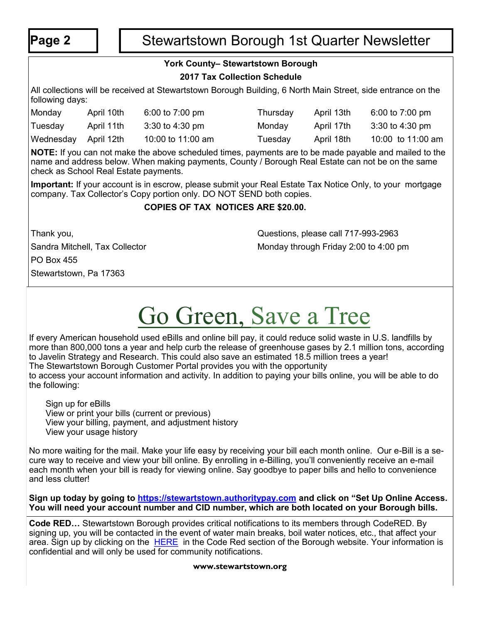## **Page 2** | | Stewartstown Borough 1st Quarter Newsletter

#### **York County– Stewartstown Borough**

**2017 Tax Collection Schedule**

All collections will be received at Stewartstown Borough Building, 6 North Main Street, side entrance on the following days:

| Monday    | April 10th | 6:00 to 7:00 pm   | Thursday | April 13th | 6:00 to $7:00 \text{ pm}$ |
|-----------|------------|-------------------|----------|------------|---------------------------|
| Tuesday   | April 11th | 3:30 to 4:30 pm   | Monday   | April 17th | $3:30$ to 4:30 pm         |
| Wednesday | April 12th | 10:00 to 11:00 am | Tuesday  | April 18th | 10:00 to 11:00 am         |

**NOTE:** If you can not make the above scheduled times, payments are to be made payable and mailed to the name and address below. When making payments, County / Borough Real Estate can not be on the same check as School Real Estate payments.

**Important:** If your account is in escrow, please submit your Real Estate Tax Notice Only, to your mortgage company. Tax Collector's Copy portion only. DO NOT SEND both copies.

### **COPIES OF TAX NOTICES ARE \$20.00.**

Thank you, Questions, please call 717-993-2963 Sandra Mitchell, Tax Collector Monday through Friday 2:00 to 4:00 pm

PO Box 455

Stewartstown, Pa 17363

# Go Green, Save a Tree

If every American household used eBills and online bill pay, it could reduce solid waste in U.S. landfills by more than 800,000 tons a year and help curb the release of greenhouse gases by 2.1 million tons, according to Javelin Strategy and Research. This could also save an estimated 18.5 million trees a year! The Stewartstown Borough Customer Portal provides you with the opportunity to access your account information and activity. In addition to paying your bills online, you will be able to do the following:

Sign up for eBills View or print your bills (current or previous) View your billing, payment, and adjustment history View your usage history

No more waiting for the mail. Make your life easy by receiving your bill each month online. Our e-Bill is a secure way to receive and view your bill online. By enrolling in e-Billing, you'll conveniently receive an e-mail each month when your bill is ready for viewing online. Say goodbye to paper bills and hello to convenience and less clutter!

**Sign up today by going to <https://stewartstown.authoritypay.com> and click on "Set Up Online Access. You will need your account number and CID number, which are both located on your Borough bills.** 

**Code RED…** Stewartstown Borough provides critical notifications to its members through CodeRED. By signing up, you will be contacted in the event of water main breaks, boil water notices, etc., that affect your area. Sign up by clicking on the [HERE](https://public.coderedweb.com/cne/en-us/f9ec63def2b4) in the Code Red section of the Borough website. Your information is confidential and will only be used for community notifications.

**www.stewartstown.org**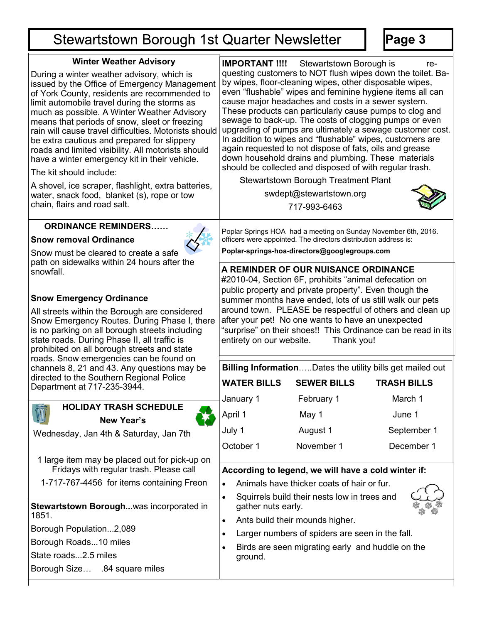# Stewartstown Borough 1st Quarter Newsletter

**Page 3**

| <b>Winter Weather Advisory</b>                                                                                                                                                                                                                                                                                                                                                                                                                                                                                                                                                                                                                                             | <b>IMPORTANT !!!!</b>                                                                                                                                                                                                                                                                                                                                                                                                                                                                                                                                                                                                                                                                                                                                          | Stewartstown Borough is                                   | re-                |  |
|----------------------------------------------------------------------------------------------------------------------------------------------------------------------------------------------------------------------------------------------------------------------------------------------------------------------------------------------------------------------------------------------------------------------------------------------------------------------------------------------------------------------------------------------------------------------------------------------------------------------------------------------------------------------------|----------------------------------------------------------------------------------------------------------------------------------------------------------------------------------------------------------------------------------------------------------------------------------------------------------------------------------------------------------------------------------------------------------------------------------------------------------------------------------------------------------------------------------------------------------------------------------------------------------------------------------------------------------------------------------------------------------------------------------------------------------------|-----------------------------------------------------------|--------------------|--|
| During a winter weather advisory, which is<br>issued by the Office of Emergency Management<br>of York County, residents are recommended to<br>limit automobile travel during the storms as<br>much as possible. A Winter Weather Advisory<br>means that periods of snow, sleet or freezing<br>rain will cause travel difficulties. Motorists should<br>be extra cautious and prepared for slippery<br>roads and limited visibility. All motorists should<br>have a winter emergency kit in their vehicle.<br>The kit should include:<br>A shovel, ice scraper, flashlight, extra batteries,<br>water, snack food, blanket (s), rope or tow<br>chain, flairs and road salt. | questing customers to NOT flush wipes down the toilet. Ba-<br>by wipes, floor-cleaning wipes, other disposable wipes,<br>even "flushable" wipes and feminine hygiene items all can<br>cause major headaches and costs in a sewer system.<br>These products can particularly cause pumps to clog and<br>sewage to back-up. The costs of clogging pumps or even<br>upgrading of pumps are ultimately a sewage customer cost.<br>In addition to wipes and "flushable" wipes, customers are<br>again requested to not dispose of fats, oils and grease<br>down household drains and plumbing. These materials<br>should be collected and disposed of with regular trash.<br><b>Stewartstown Borough Treatment Plant</b><br>swdept@stewartstown.org<br>717-993-6463 |                                                           |                    |  |
| <b>ORDINANCE REMINDERS</b>                                                                                                                                                                                                                                                                                                                                                                                                                                                                                                                                                                                                                                                 |                                                                                                                                                                                                                                                                                                                                                                                                                                                                                                                                                                                                                                                                                                                                                                |                                                           |                    |  |
| <b>Snow removal Ordinance</b>                                                                                                                                                                                                                                                                                                                                                                                                                                                                                                                                                                                                                                              | Poplar Springs HOA had a meeting on Sunday November 6th, 2016.<br>officers were appointed. The directors distribution address is:                                                                                                                                                                                                                                                                                                                                                                                                                                                                                                                                                                                                                              |                                                           |                    |  |
| Snow must be cleared to create a safe                                                                                                                                                                                                                                                                                                                                                                                                                                                                                                                                                                                                                                      | Poplar-springs-hoa-directors@googlegroups.com                                                                                                                                                                                                                                                                                                                                                                                                                                                                                                                                                                                                                                                                                                                  |                                                           |                    |  |
| path on sidewalks within 24 hours after the<br>snowfall.<br><b>Snow Emergency Ordinance</b><br>All streets within the Borough are considered<br>Snow Emergency Routes. During Phase I, there<br>is no parking on all borough streets including<br>state roads. During Phase II, all traffic is<br>prohibited on all borough streets and state                                                                                                                                                                                                                                                                                                                              | A REMINDER OF OUR NUISANCE ORDINANCE<br>#2010-04, Section 6F, prohibits "animal defecation on<br>public property and private property". Even though the<br>summer months have ended, lots of us still walk our pets<br>around town. PLEASE be respectful of others and clean up<br>after your pet! No one wants to have an unexpected<br>"surprise" on their shoes!! This Ordinance can be read in its<br>entirety on our website.<br>Thank you!                                                                                                                                                                                                                                                                                                               |                                                           |                    |  |
| roads. Snow emergencies can be found on<br>channels 8, 21 and 43. Any questions may be                                                                                                                                                                                                                                                                                                                                                                                                                                                                                                                                                                                     |                                                                                                                                                                                                                                                                                                                                                                                                                                                                                                                                                                                                                                                                                                                                                                | Billing InformationDates the utility bills get mailed out |                    |  |
| directed to the Southern Regional Police<br>Department at 717-235-3944.                                                                                                                                                                                                                                                                                                                                                                                                                                                                                                                                                                                                    | <b>WATER BILLS</b>                                                                                                                                                                                                                                                                                                                                                                                                                                                                                                                                                                                                                                                                                                                                             | <b>SEWER BILLS</b>                                        | <b>TRASH BILLS</b> |  |
| <b>HOLIDAY TRASH SCHEDULE</b><br>$\iff$                                                                                                                                                                                                                                                                                                                                                                                                                                                                                                                                                                                                                                    | January 1                                                                                                                                                                                                                                                                                                                                                                                                                                                                                                                                                                                                                                                                                                                                                      | February 1                                                | March 1            |  |
| <b>New Year's</b>                                                                                                                                                                                                                                                                                                                                                                                                                                                                                                                                                                                                                                                          | April 1                                                                                                                                                                                                                                                                                                                                                                                                                                                                                                                                                                                                                                                                                                                                                        | May 1                                                     | June 1             |  |
| Wednesday, Jan 4th & Saturday, Jan 7th                                                                                                                                                                                                                                                                                                                                                                                                                                                                                                                                                                                                                                     | July 1                                                                                                                                                                                                                                                                                                                                                                                                                                                                                                                                                                                                                                                                                                                                                         | August 1                                                  | September 1        |  |
| 1 large item may be placed out for pick-up on<br>Fridays with regular trash. Please call<br>1-717-767-4456 for items containing Freon                                                                                                                                                                                                                                                                                                                                                                                                                                                                                                                                      | October 1<br>November 1<br>December 1<br>According to legend, we will have a cold winter if:<br>Animals have thicker coats of hair or fur.<br>$\bullet$<br>Squirrels build their nests low in trees and<br>$\bullet$                                                                                                                                                                                                                                                                                                                                                                                                                                                                                                                                           |                                                           |                    |  |
| Stewartstown Boroughwas incorporated in                                                                                                                                                                                                                                                                                                                                                                                                                                                                                                                                                                                                                                    | gather nuts early.                                                                                                                                                                                                                                                                                                                                                                                                                                                                                                                                                                                                                                                                                                                                             |                                                           |                    |  |
|                                                                                                                                                                                                                                                                                                                                                                                                                                                                                                                                                                                                                                                                            | Ants build their mounds higher.<br>$\bullet$                                                                                                                                                                                                                                                                                                                                                                                                                                                                                                                                                                                                                                                                                                                   |                                                           |                    |  |
| 1851.                                                                                                                                                                                                                                                                                                                                                                                                                                                                                                                                                                                                                                                                      |                                                                                                                                                                                                                                                                                                                                                                                                                                                                                                                                                                                                                                                                                                                                                                |                                                           |                    |  |
| Borough Population2,089                                                                                                                                                                                                                                                                                                                                                                                                                                                                                                                                                                                                                                                    | $\bullet$                                                                                                                                                                                                                                                                                                                                                                                                                                                                                                                                                                                                                                                                                                                                                      | Larger numbers of spiders are seen in the fall.           |                    |  |
| Borough Roads10 miles<br>State roads2.5 miles                                                                                                                                                                                                                                                                                                                                                                                                                                                                                                                                                                                                                              | $\bullet$<br>ground.                                                                                                                                                                                                                                                                                                                                                                                                                                                                                                                                                                                                                                                                                                                                           | Birds are seen migrating early and huddle on the          |                    |  |